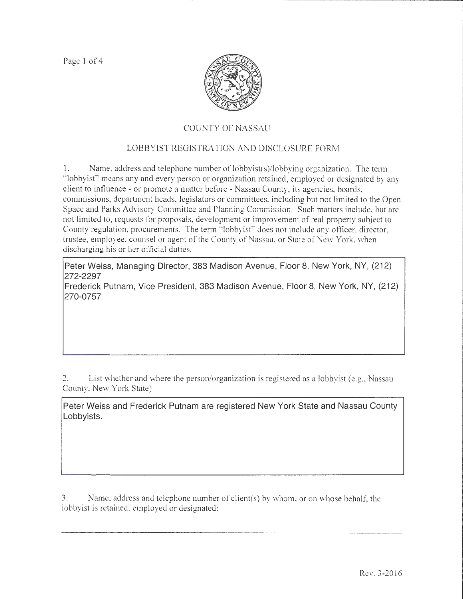Page 1 of 4



## COUNTY OF NASSAU

## LOBBYIST REGISTRATION AND DISCLOSURE FORM

1. Name, address and telephone number of lobbyist(s)/lobbying organization. The term "lobbyist" means any and every person or organization retained, employed or designated by any client to influence - or promote a matter before - Nassau County, its agencies, boards, commissions, department beads, legislators or committees, including but not limited to the Open Space and Parks Advisory Committee and Planning Commission. Such matters include, but are not limited to, requests for proposals, development or improvement of real property subject to County regulation, procurements. The term " lobbyist" does not include any officer, director, trustee, employee, counsel or agent of the County of Nassau, or State of New York, \vhen discharging his or her official duties.

**Peter Weiss, Managing Director, 383 Madison Avenue, Floor 8, New York, NY, (212) 272-2297** 

**Frederick Putnam, Vice President, 383 Madison Avenue, Floor 8, New York, NY, (212) 270-0757** 

2. List whether and where the person/organization is registered as a lobbyist (e.g., Nassau County, New York State):

**Peter Weiss and Frederick Putnam are registered New York State and Nassau County Lobbyists.** 

3. Name. address and telephone number of client(s) by vvhom, or on whose behalf: the lobbyist is retained. employed or designated: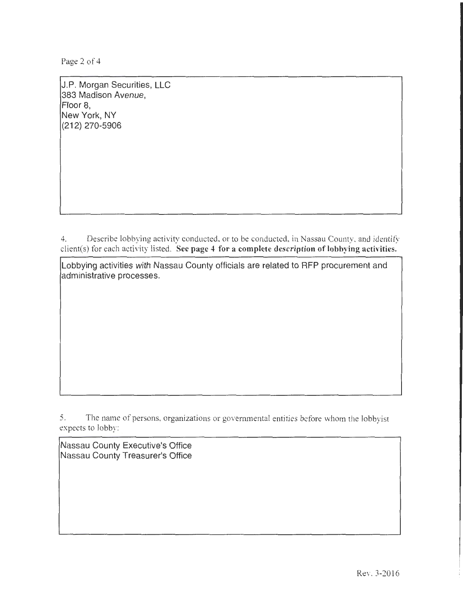Page 2 of 4

J.P. Morgan Securities, LLC 383 Madison Avenue, Floor 8, New York, NY (212) 270-5906

4. Describe lobbying activity conducted, or to be conducted, in Nassau County, and identify client(s) for each activity listed. See page 4 for a complete description of lobbying activities.

Lobbying activities with Nassau County officials are related to RFP procurement and administrative processes.

5. The name of persons, organizations or governmental entities before whom the lobbyist expects to lobby:

Nassau County Executive's Office Nassau County Treasurer's Office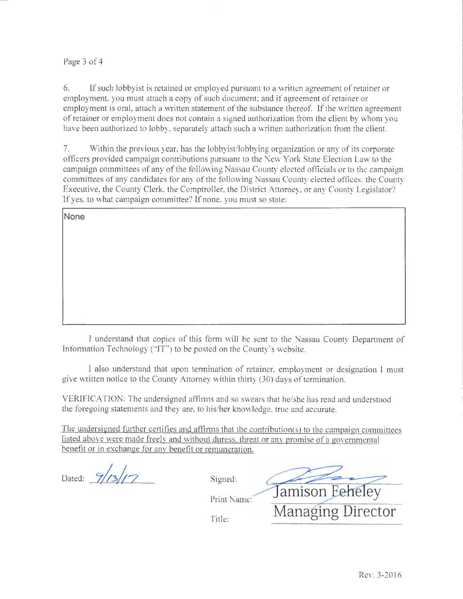## Page 3 of 4

6. If such lobbyist is retained or employed pursuant to a written agreernent of retainer or employment, you must attach a copy of such document; and if agreement of retainer or employment is oral, attach a written statement of the substance thereof. If the written agreement of retainer or employment does not contain a signed authorization from the client by whom you have been authorized to lobby, separately attach such a written authorization from the client.

7. Within the previous year. has the lobbyist/lobbying organization or any of its corporate officers provided campaign contributions pursuant to the New York State Election Law to the campaign committees of any of the following Nassau County elected officials or to the campaign committees of any candidates tor any of the following Nassau County elected offices: the County Executive, the County Clerk, the Comptroller, the District Attomey, or any County Legislator? If yes, to what campaign committee? If none, you must so state:

**None** 

I understand that copies of this form will be sent to the Nassau County Depanmem of Information Technology ("IT") to be posted on the County's website.

I also understand that upon termination of retainer. employment or designation I must give written notice to the County Attorney within thirty (30) days of termination.

VERIFICATION: The undersigned affirms and so swears that be/she has read and understood the foregoing statements and they are, to his/her knowledge, true and accurate.

The undersigned further certifies and affirms that the contribution(s) to the campaign committees listed above were made freelv and without duress. threat or anv promise of a governmental benefit or in exchange for anv benefit or remuneration.

Dated:  $9/13/17$ 

Signed:

Title:

Jamison Feheley Print Name: Managing Director